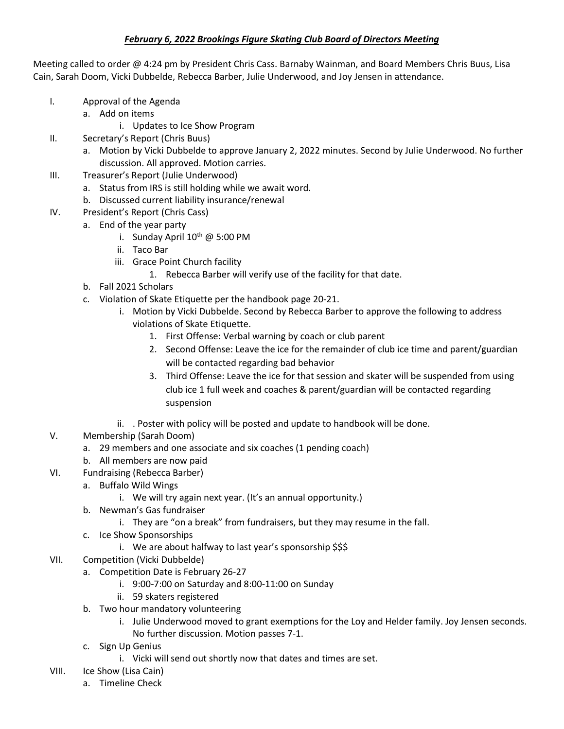## *February 6, 2022 Brookings Figure Skating Club Board of Directors Meeting*

Meeting called to order @ 4:24 pm by President Chris Cass. Barnaby Wainman, and Board Members Chris Buus, Lisa Cain, Sarah Doom, Vicki Dubbelde, Rebecca Barber, Julie Underwood, and Joy Jensen in attendance.

- I. Approval of the Agenda
	- a. Add on items
		- i. Updates to Ice Show Program
- II. Secretary's Report (Chris Buus)
	- a. Motion by Vicki Dubbelde to approve January 2, 2022 minutes. Second by Julie Underwood. No further discussion. All approved. Motion carries.
- III. Treasurer's Report (Julie Underwood)
	- a. Status from IRS is still holding while we await word.
	- b. Discussed current liability insurance/renewal
- IV. President's Report (Chris Cass)
	- a. End of the year party
		- i. Sunday April  $10^{th}$  @ 5:00 PM
		- ii. Taco Bar
		- iii. Grace Point Church facility
			- 1. Rebecca Barber will verify use of the facility for that date.
	- b. Fall 2021 Scholars
	- c. Violation of Skate Etiquette per the handbook page 20-21.
		- i. Motion by Vicki Dubbelde. Second by Rebecca Barber to approve the following to address violations of Skate Etiquette.
			- 1. First Offense: Verbal warning by coach or club parent
			- 2. Second Offense: Leave the ice for the remainder of club ice time and parent/guardian will be contacted regarding bad behavior
			- 3. Third Offense: Leave the ice for that session and skater will be suspended from using club ice 1 full week and coaches & parent/guardian will be contacted regarding suspension
		- ii. . Poster with policy will be posted and update to handbook will be done.
- V. Membership (Sarah Doom)
	- a. 29 members and one associate and six coaches (1 pending coach)
	- b. All members are now paid
- VI. Fundraising (Rebecca Barber)
	- a. Buffalo Wild Wings
		- i. We will try again next year. (It's an annual opportunity.)
	- b. Newman's Gas fundraiser
		- i. They are "on a break" from fundraisers, but they may resume in the fall.
	- c. Ice Show Sponsorships
		- i. We are about halfway to last year's sponsorship \$\$\$
- VII. Competition (Vicki Dubbelde)
	- a. Competition Date is February 26-27
		- i. 9:00-7:00 on Saturday and 8:00-11:00 on Sunday
		- ii. 59 skaters registered
	- b. Two hour mandatory volunteering
		- i. Julie Underwood moved to grant exemptions for the Loy and Helder family. Joy Jensen seconds. No further discussion. Motion passes 7-1.
	- c. Sign Up Genius
		- i. Vicki will send out shortly now that dates and times are set.
- VIII. Ice Show (Lisa Cain)
	- a. Timeline Check